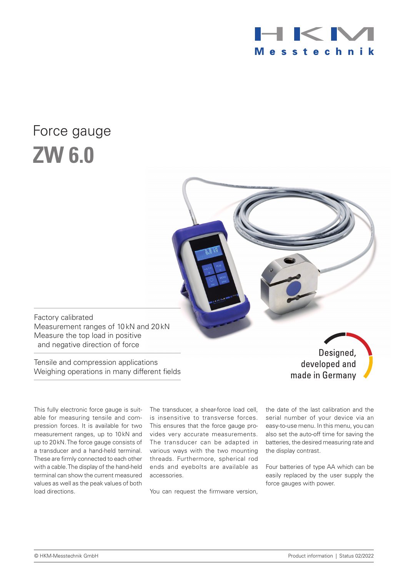

# Force gauge **ZW 6.0**

Factory calibrated Measurement ranges of 10kN and 20kN Measure the top load in positive and negative direction of force

Tensile and compression applications Weighing operations in many different fields

Designed, developed and made in Germany

This fully electronic force gauge is suitable for measuring tensile and compression forces. It is available for two measurement ranges, up to 10kN and up to 20kN. The force gauge consists of a transducer and a hand-held terminal. These are firmly connected to each other with a cable. The display of the hand-held terminal can show the current measured values as well as the peak values of both load directions.

The transducer, a shear-force load cell, is insensitive to transverse forces. This ensures that the force gauge provides very accurate measurements. The transducer can be adapted in various ways with the two mounting threads. Furthermore, spherical rod ends and eyebolts are available as accessories.

You can request the firmware version,

the date of the last calibration and the serial number of your device via an easy-to-use menu. In this menu, you can also set the auto-off time for saving the batteries, the desired measuring rate and the display contrast.

Four batteries of type AA which can be easily replaced by the user supply the force gauges with power.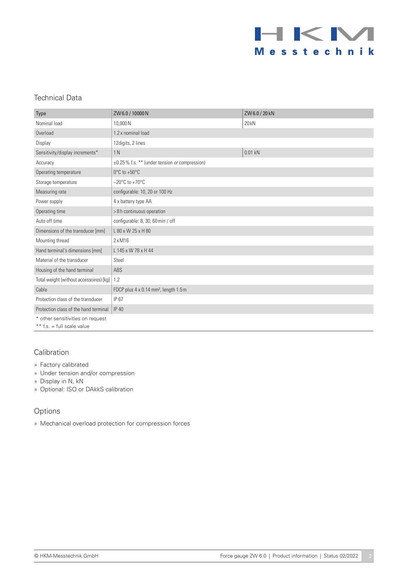

## Technical Data

| <b>Type</b>                                                      | ZW 6.0 / 10000 N                                           | ZW6.0/20kN |
|------------------------------------------------------------------|------------------------------------------------------------|------------|
| Nominal load                                                     | 10,000N                                                    | 20 kN      |
| Overload                                                         | 1.2 x nominal load                                         |            |
| Display                                                          | 12 digits, 2 lines                                         |            |
| Sensitivity/display increments*                                  | 1 <sub>N</sub>                                             | $0.01$ kN  |
| Accuracy                                                         | $\pm 0.25$ % f.s. ** (under tension <i>or</i> compression) |            |
| Operating temperature                                            | $0^{\circ}$ C to +50 $^{\circ}$ C                          |            |
| Storage temperature                                              | $-20^{\circ}$ C to +70 $^{\circ}$ C                        |            |
| Measuring rate                                                   | configurable: 10, 20 or 100 Hz                             |            |
| Power supply                                                     | 4 x battery type AA                                        |            |
| Operating time                                                   | >8h continuous operation                                   |            |
| Auto off time                                                    | configurable: 8, 30, 60 min / off                          |            |
| Dimensions of the transducer [mm]                                | L 80 x W 25 x H 80                                         |            |
| Mounting thread                                                  | $2 \times M16$                                             |            |
| Hand terminal's dimensions [mm]                                  | L 145 x W 78 x H 44                                        |            |
| Material of the transducer                                       | Steel                                                      |            |
| Housing of the hand terminal                                     | ABS                                                        |            |
| Total weight (without accessoires) [kg]                          | 1.2                                                        |            |
| Cable                                                            | FDCP plus 4 x 0.14 mm <sup>2</sup> , length 1.5 m          |            |
| Protection class of the transducer                               | IP 67                                                      |            |
| Protection class of the hand terminal                            | <b>IP 40</b>                                               |            |
| * other sensitivities on request<br>** $f.s. = full scale value$ |                                                            |            |

## Calibration

- » Factory calibrated
- » Under tension and/or compression
- » Display in N, kN
- » Optional: ISO or DAkkS calibration

#### Options

» Mechanical overload protection for compression forces